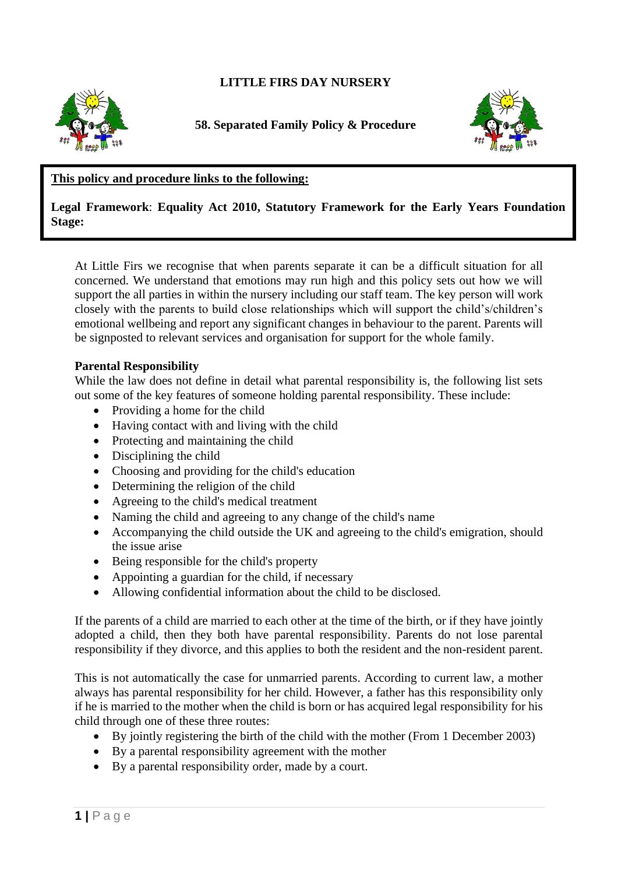# **LITTLE FIRS DAY NURSERY**



**58. Separated Family Policy & Procedure**



## **This policy and procedure links to the following:**

## **Legal Framework**: **Equality Act 2010, Statutory Framework for the Early Years Foundation Stage:**

At Little Firs we recognise that when parents separate it can be a difficult situation for all concerned. We understand that emotions may run high and this policy sets out how we will support the all parties in within the nursery including our staff team. The key person will work closely with the parents to build close relationships which will support the child's/children's emotional wellbeing and report any significant changes in behaviour to the parent. Parents will be signposted to relevant services and organisation for support for the whole family.

#### **Parental Responsibility**

While the law does not define in detail what parental responsibility is, the following list sets out some of the key features of someone holding parental responsibility. These include:

- Providing a home for the child
- Having contact with and living with the child
- Protecting and maintaining the child
- Disciplining the child
- Choosing and providing for the child's education
- Determining the religion of the child
- Agreeing to the child's medical treatment
- Naming the child and agreeing to any change of the child's name
- Accompanying the child outside the UK and agreeing to the child's emigration, should the issue arise
- Being responsible for the child's property
- Appointing a guardian for the child, if necessary
- Allowing confidential information about the child to be disclosed.

If the parents of a child are married to each other at the time of the birth, or if they have jointly adopted a child, then they both have parental responsibility. Parents do not lose parental responsibility if they divorce, and this applies to both the resident and the non-resident parent.

This is not automatically the case for unmarried parents. According to current law, a mother always has parental responsibility for her child. However, a father has this responsibility only if he is married to the mother when the child is born or has acquired legal responsibility for his child through one of these three routes:

- By jointly registering the birth of the child with the mother (From 1 December 2003)
- By a parental responsibility agreement with the mother
- By a parental responsibility order, made by a court.